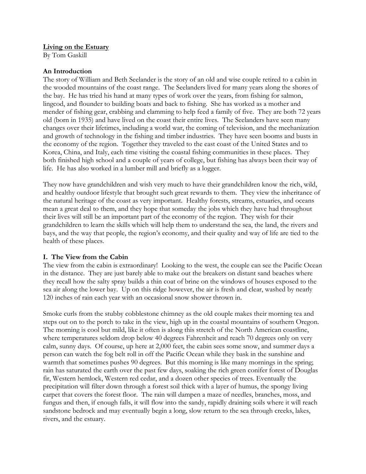## Living on the Estuary

By Tom Gaskill

## An Introduction

The story of William and Beth Seelander is the story of an old and wise couple retired to a cabin in the wooded mountains of the coast range. The Seelanders lived for many years along the shores of the bay. He has tried his hand at many types of work over the years, from fishing for salmon, lingcod, and flounder to building boats and back to fishing. She has worked as a mother and mender of fishing gear, crabbing and clamming to help feed a family of five. They are both 72 years old (born in 1935) and have lived on the coast their entire lives. The Seelanders have seen many changes over their lifetimes, including a world war, the coming of television, and the mechanization and growth of technology in the fishing and timber industries. They have seen booms and busts in the economy of the region. Together they traveled to the east coast of the United States and to Korea, China, and Italy, each time visiting the coastal fishing communities in these places. They both finished high school and a couple of years of college, but fishing has always been their way of life. He has also worked in a lumber mill and briefly as a logger.

They now have grandchildren and wish very much to have their grandchildren know the rich, wild, and healthy outdoor lifestyle that brought such great rewards to them. They view the inheritance of the natural heritage of the coast as very important. Healthy forests, streams, estuaries, and oceans mean a great deal to them, and they hope that someday the jobs which they have had throughout their lives will still be an important part of the economy of the region. They wish for their grandchildren to learn the skills which will help them to understand the sea, the land, the rivers and bays, and the way that people, the region's economy, and their quality and way of life are tied to the health of these places.

## I. The View from the Cabin

The view from the cabin is extraordinary! Looking to the west, the couple can see the Pacific Ocean in the distance. They are just barely able to make out the breakers on distant sand beaches where they recall how the salty spray builds a thin coat of brine on the windows of houses exposed to the sea air along the lower bay. Up on this ridge however, the air is fresh and clear, washed by nearly 120 inches of rain each year with an occasional snow shower thrown in.

Smoke curls from the stubby cobblestone chimney as the old couple makes their morning tea and steps out on to the porch to take in the view, high up in the coastal mountains of southern Oregon. The morning is cool but mild, like it often is along this stretch of the North American coastline, where temperatures seldom drop below 40 degrees Fahrenheit and reach 70 degrees only on very calm, sunny days. Of course, up here at 2,000 feet, the cabin sees some snow, and summer days a person can watch the fog belt roll in off the Pacific Ocean while they bask in the sunshine and warmth that sometimes pushes 90 degrees. But this morning is like many mornings in the spring; rain has saturated the earth over the past few days, soaking the rich green conifer forest of Douglas fir, Western hemlock, Western red cedar, and a dozen other species of trees. Eventually the precipitation will filter down through a forest soil thick with a layer of humus, the spongy living carpet that covers the forest floor. The rain will dampen a maze of needles, branches, moss, and fungus and then, if enough falls, it will flow into the sandy, rapidly draining soils where it will reach sandstone bedrock and may eventually begin a long, slow return to the sea through creeks, lakes, rivers, and the estuary.